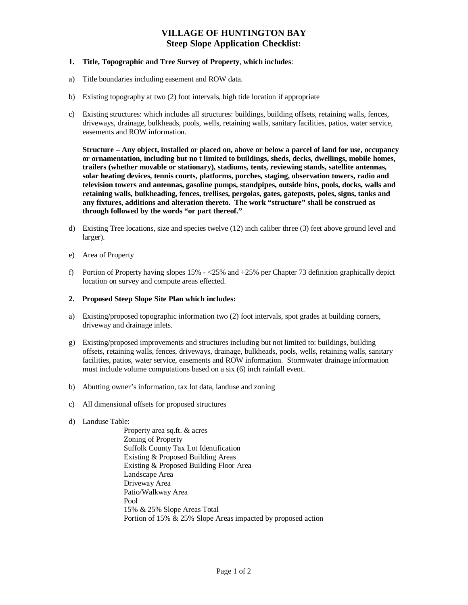# **VILLAGE OF HUNTINGTON BAY Steep Slope Application Checklist:**

#### **1. Title, Topographic and Tree Survey of Property**, **which includes**:

- a) Title boundaries including easement and ROW data.
- b) Existing topography at two (2) foot intervals, high tide location if appropriate
- c) Existing structures: which includes all structures: buildings, building offsets, retaining walls, fences, driveways, drainage, bulkheads, pools, wells, retaining walls, sanitary facilities, patios, water service, easements and ROW information.

**Structure – Any object, installed or placed on, above or below a parcel of land for use, occupancy or ornamentation, including but no t limited to buildings, sheds, decks, dwellings, mobile homes, trailers (whether movable or stationary), stadiums, tents, reviewing stands, satellite antennas, solar heating devices, tennis courts, platforms, porches, staging, observation towers, radio and television towers and antennas, gasoline pumps, standpipes, outside bins, pools, docks, walls and retaining walls, bulkheading, fences, trellises, pergolas, gates, gateposts, poles, signs, tanks and any fixtures, additions and alteration thereto. The work "structure" shall be construed as through followed by the words "or part thereof."** 

- d) Existing Tree locations, size and species twelve (12) inch caliber three (3) feet above ground level and larger).
- e) Area of Property
- f) Portion of Property having slopes 15% <25% and +25% per Chapter 73 definition graphically depict location on survey and compute areas effected.

#### **2. Proposed Steep Slope Site Plan which includes:**

- a) Existing/proposed topographic information two (2) foot intervals, spot grades at building corners, driveway and drainage inlets.
- g) Existing/proposed improvements and structures including but not limited to: buildings, building offsets, retaining walls, fences, driveways, drainage, bulkheads, pools, wells, retaining walls, sanitary facilities, patios, water service, easements and ROW information. Stormwater drainage information must include volume computations based on a six (6) inch rainfall event.
- b) Abutting owner's information, tax lot data, landuse and zoning
- c) All dimensional offsets for proposed structures
- d) Landuse Table:

 Property area sq.ft. & acres Zoning of Property Suffolk County Tax Lot Identification Existing & Proposed Building Areas Existing & Proposed Building Floor Area Landscape Area Driveway Area Patio/Walkway Area Pool 15% & 25% Slope Areas Total Portion of 15% & 25% Slope Areas impacted by proposed action